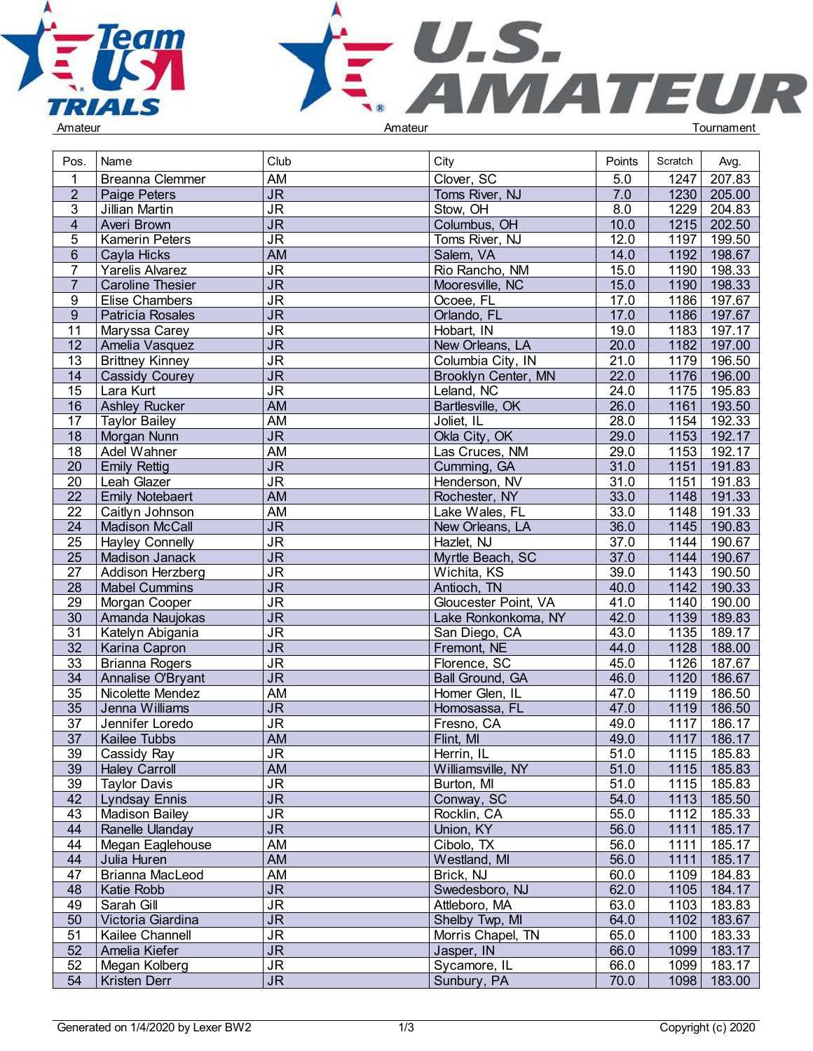



| Pos.            | Name                    | Club                              | City                 | Points | Scratch           | Avg.        |  |
|-----------------|-------------------------|-----------------------------------|----------------------|--------|-------------------|-------------|--|
|                 | Breanna Clemmer         | AM                                | Clover, SC           | 5.0    | 1247              | 207.83      |  |
| $\overline{2}$  | Paige Peters            | $\overline{\mathsf{J}\mathsf{R}}$ | Toms River, NJ       | 7.0    | 1230              | 205.00      |  |
| 3               | Jillian Martin          | $\overline{\mathsf{J}\mathsf{R}}$ | Stow, OH             | 8.0    | 1229              | 204.83      |  |
| $\overline{4}$  | Averi Brown             | $\overline{\mathsf{J}\mathsf{R}}$ | Columbus, OH         | 10.0   | $\overline{1215}$ | 202.50      |  |
| 5               | <b>Kamerin Peters</b>   | $\overline{\mathsf{J}\mathsf{R}}$ | Toms River, NJ       | 12.0   | 1197              | 199.50      |  |
| $6\phantom{.}$  | Cayla Hicks             | <b>AM</b>                         | Salem, VA            | 14.0   | 1192              | 198.67      |  |
| $\overline{7}$  | Yarelis Alvarez         | $\overline{\mathsf{J}\mathsf{R}}$ | Rio Rancho, NM       | 15.0   | 1190              | 198.33      |  |
| $\overline{7}$  |                         |                                   |                      |        |                   |             |  |
|                 | <b>Caroline Thesier</b> | $\overline{\mathsf{J}\mathsf{R}}$ | Mooresville, NC      | 15.0   | 1190              | 198.33      |  |
| 9               | <b>Elise Chambers</b>   | $\overline{\mathsf{J}\mathsf{R}}$ | Ocoee, FL            | 17.0   | 1186              | 197.67      |  |
| $\overline{9}$  | Patricia Rosales        | $\overline{\mathsf{J}\mathsf{R}}$ | Orlando, FL          | 17.0   | 1186              | 197.67      |  |
| 11              | Maryssa Carey           | <b>JR</b>                         | Hobart, IN           | 19.0   | 1183              | 197.17      |  |
| 12              | Amelia Vasquez          | $\overline{\mathsf{J}\mathsf{R}}$ | New Orleans, LA      | 20.0   | 1182              | 197.00      |  |
| 13              | <b>Brittney Kinney</b>  | $\overline{\mathsf{J}\mathsf{R}}$ | Columbia City, IN    | 21.0   | 1179              | 196.50      |  |
| 14              | <b>Cassidy Courey</b>   | J <sub>R</sub>                    | Brooklyn Center, MN  | 22.0   | 1176              | 196.00      |  |
| $\overline{15}$ | Lara Kurt               | $\overline{\mathsf{J}\mathsf{R}}$ | Leland, NC           | 24.0   | 1175              | 195.83      |  |
| 16              | <b>Ashley Rucker</b>    | <b>AM</b>                         | Bartlesville, OK     | 26.0   | 1161              | 193.50      |  |
| $\overline{17}$ | <b>Taylor Bailey</b>    | <b>AM</b>                         | Joliet, IL           | 28.0   | 1154              | 192.33      |  |
| $\overline{18}$ | Morgan Nunn             | $\overline{\mathsf{J}\mathsf{R}}$ | Okla City, OK        | 29.0   | 1153              | 192.17      |  |
| 18              | Adel Wahner             | <b>AM</b>                         | Las Cruces, NM       | 29.0   | 1153              | 192.17      |  |
| 20              | <b>Emily Rettig</b>     | $\overline{\mathsf{J}\mathsf{R}}$ | Cumming, GA          | 31.0   | 1151              | 191.83      |  |
| 20              | Leah Glazer             | <b>JR</b>                         | Henderson, NV        | 31.0   | 1151              | 191.83      |  |
| $\overline{22}$ | <b>Emily Notebaert</b>  | <b>AM</b>                         | Rochester, NY        | 33.0   | 1148              | 191.33      |  |
| $\overline{22}$ | Caitlyn Johnson         | AM                                | Lake Wales, FL       | 33.0   | 1148              | 191.33      |  |
| $\overline{24}$ | <b>Madison McCall</b>   | $\overline{\mathsf{J}\mathsf{R}}$ | New Orleans, LA      | 36.0   | 1145              | 190.83      |  |
| $\overline{25}$ | <b>Hayley Connelly</b>  | $\overline{\mathsf{J}\mathsf{R}}$ | Hazlet, NJ           | 37.0   | 1144              | 190.67      |  |
| $\overline{25}$ | Madison Janack          | $\overline{\mathsf{J}\mathsf{R}}$ | Myrtle Beach, SC     | 37.0   | 1144              | 190.67      |  |
| $\overline{27}$ | Addison Herzberg        | $\overline{\mathsf{J}\mathsf{R}}$ | Wichita, KS          | 39.0   | 1143              | 190.50      |  |
| $\overline{28}$ | <b>Mabel Cummins</b>    | $\overline{\mathsf{J}\mathsf{R}}$ | Antioch, TN          | 40.0   | 1142              | 190.33      |  |
| $\overline{29}$ | Morgan Cooper           | $\overline{\mathsf{J}\mathsf{R}}$ | Gloucester Point, VA | 41.0   | 1140              | 190.00      |  |
| $\overline{30}$ | Amanda Naujokas         | $\overline{\mathsf{J}\mathsf{R}}$ | Lake Ronkonkoma, NY  | 42.0   | 1139              | 189.83      |  |
| 31              | Katelyn Abigania        | <b>JR</b>                         | San Diego, CA        | 43.0   | 1135              | 189.17      |  |
| $\overline{32}$ | Karina Capron           | $\overline{\mathsf{J}\mathsf{R}}$ | Fremont, NE          | 44.0   | 1128              | 188.00      |  |
| $\overline{33}$ | <b>Brianna Rogers</b>   | $\overline{\mathsf{J}\mathsf{R}}$ | Florence, SC         | 45.0   | 1126              | 187.67      |  |
| $\overline{34}$ | Annalise O'Bryant       | $\overline{\mathsf{J}\mathsf{R}}$ | Ball Ground, GA      | 46.0   | 1120              | 186.67      |  |
| 35              | Nicolette Mendez        | AM                                | Homer Glen, IL       | 47.0   | 1119              | 186.50      |  |
| $\overline{35}$ | Jenna Williams          | $\overline{\mathsf{J}\mathsf{R}}$ | Homosassa, FL        | 47.0   | 1119              | 186.50      |  |
| 37              | Jennifer Loredo         | $\overline{\mathsf{J}\mathsf{R}}$ | Fresno, CA           | 49.0   | 1117              | 186.17      |  |
| $\overline{37}$ | Kailee Tubbs            | AM                                | Flint, MI            | 49.0   | 1117              | 186.17      |  |
| 39              | Cassidy Ray             | <b>JR</b>                         | Herrin, IL           | 51.0   |                   | 1115 185.83 |  |
| 39              | <b>Haley Carroll</b>    | <b>AM</b>                         | Williamsville, NY    | 51.0   | 1115              | 185.83      |  |
| 39              | <b>Taylor Davis</b>     | <b>JR</b>                         | Burton, MI           | 51.0   |                   | 1115 185.83 |  |
| 42              | <b>Lyndsay Ennis</b>    | $\overline{\mathsf{JR}}$          | Conway, SC           | 54.0   |                   | 1113 185.50 |  |
| 43              | <b>Madison Bailey</b>   | $\overline{\mathsf{J}\mathsf{R}}$ | Rocklin, CA          | 55.0   | 1112              | 185.33      |  |
| 44              | Ranelle Ulanday         | $\overline{\mathsf{JR}}$          | Union, KY            | 56.0   | 1111              | 185.17      |  |
| 44              | Megan Eaglehouse        | AM                                | Cibolo, TX           | 56.0   | 1111              | 185.17      |  |
| 44              |                         | AM                                | Westland, MI         | 56.0   | 1111              | 185.17      |  |
|                 | Julia Huren             |                                   |                      |        |                   |             |  |
| 47              | Brianna MacLeod         | AM                                | Brick, NJ            | 60.0   | 1109              | 184.83      |  |
| 48              | Katie Robb              | J <sub>R</sub>                    | Swedesboro, NJ       | 62.0   | 1105              | 184.17      |  |
| 49              | Sarah Gill              | J <sub>R</sub>                    | Attleboro, MA        | 63.0   | 1103              | 183.83      |  |
| 50              | Victoria Giardina       | <b>JR</b>                         | Shelby Twp, MI       | 64.0   | 1102              | 183.67      |  |
| 51              | Kailee Channell         | <b>JR</b>                         | Morris Chapel, TN    | 65.0   | 1100              | 183.33      |  |
| 52              | Amelia Kiefer           | $\overline{\mathsf{JR}}$          | Jasper, IN           | 66.0   | 1099              | 183.17      |  |
| 52              | Megan Kolberg           | J <sub>R</sub>                    | Sycamore, IL         | 66.0   | 1099              | 183.17      |  |
| 54              | Kristen Derr            | $\overline{\mathsf{J}\mathsf{R}}$ | Sunbury, PA          | 70.0   | 1098              | 183.00      |  |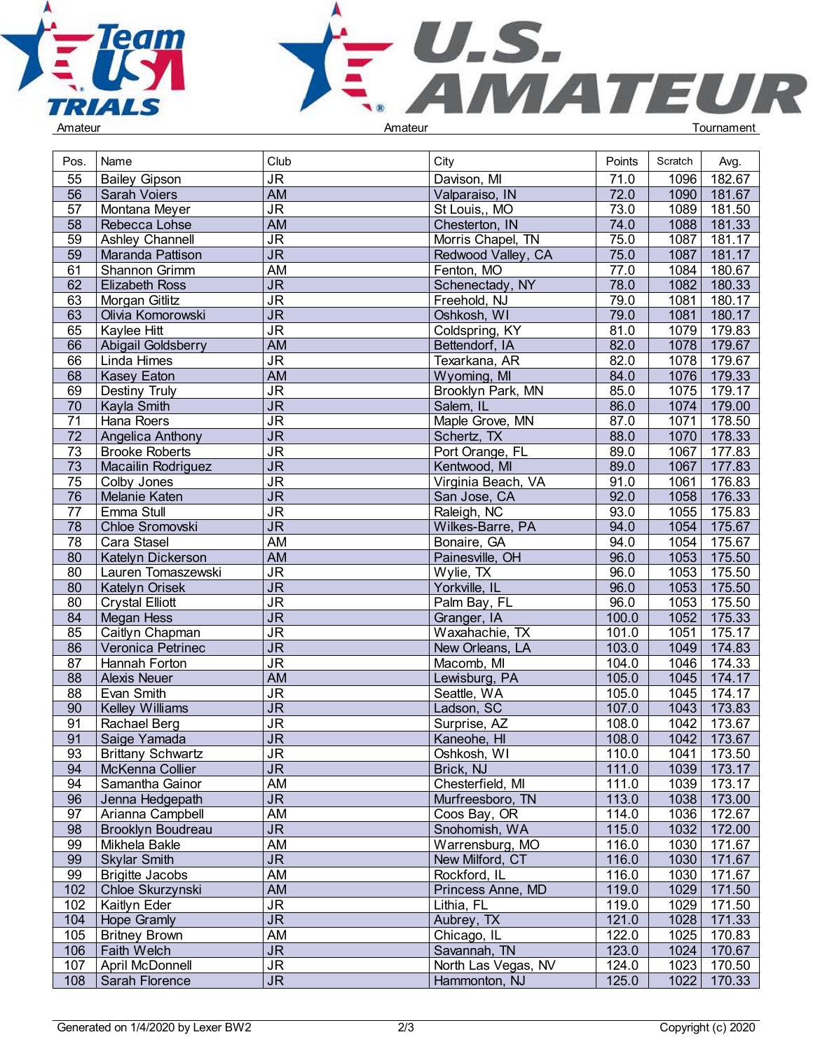



| Pos.            | Name                     | Club                              | City                    | Points       | Scratch | Avg.        |  |
|-----------------|--------------------------|-----------------------------------|-------------------------|--------------|---------|-------------|--|
| 55              | <b>Bailey Gipson</b>     | <b>JR</b>                         | Davison, MI             | 71.0         | 1096    | 182.67      |  |
| 56              | <b>Sarah Voiers</b>      | <b>AM</b>                         | Valparaiso, IN          | 72.0         | 1090    | 181.67      |  |
| 57              | Montana Meyer            | $\overline{\mathsf{J}\mathsf{R}}$ | St Louis,, MO           | 73.0         | 1089    | 181.50      |  |
| 58              | Rebecca Lohse            | <b>AM</b>                         | Chesterton, IN          | 74.0         | 1088    | 181.33      |  |
| 59              | Ashley Channell          | <b>JR</b>                         | Morris Chapel, TN       | 75.0         | 1087    | 181.17      |  |
| 59              | Maranda Pattison         | J <sub>R</sub>                    |                         | 75.0         | 1087    | 181.17      |  |
|                 |                          |                                   | Redwood Valley, CA      |              |         | 180.67      |  |
| 61<br>62        | Shannon Grimm            | AM                                | Fenton, MO              | 77.0<br>78.0 | 1084    |             |  |
|                 | <b>Elizabeth Ross</b>    | $\overline{\mathsf{J}\mathsf{R}}$ | Schenectady, NY         |              | 1082    | 180.33      |  |
| 63              | Morgan Gitlitz           | $\overline{\mathsf{J}\mathsf{R}}$ | Freehold, NJ            | 79.0         | 1081    | 180.17      |  |
| 63              | Olivia Komorowski        | $\overline{\mathsf{JR}}$          | Oshkosh, WI             | 79.0         | 1081    | 180.17      |  |
| 65              | Kaylee Hitt              | <b>JR</b>                         | Coldspring, KY          | 81.0         | 1079    | 179.83      |  |
| 66              | Abigail Goldsberry       | <b>AM</b>                         | Bettendorf, IA          | 82.0         | 1078    | 179.67      |  |
| 66              | Linda Himes              | $\overline{\mathsf{J}\mathsf{R}}$ | Texarkana, AR           | 82.0         | 1078    | 179.67      |  |
| 68              | Kasey Eaton              | <b>AM</b>                         | Wyoming, MI             | 84.0         | 1076    | 179.33      |  |
| 69              | Destiny Truly            | <b>JR</b>                         | Brooklyn Park, MN       | 85.0         | 1075    | 179.17      |  |
| 70              | Kayla Smith              | JR                                | Salem, IL               | 86.0         | 1074    | 179.00      |  |
| 71              | Hana Roers               | $\overline{\mathsf{J}\mathsf{R}}$ | Maple Grove, MN         | 87.0         | 1071    | 178.50      |  |
| $\overline{72}$ | Angelica Anthony         | $\overline{\mathsf{J}\mathsf{R}}$ | Schertz, TX             | 88.0         | 1070    | 178.33      |  |
| 73              | <b>Brooke Roberts</b>    | $\overline{\mathsf{J}\mathsf{R}}$ | Port Orange, FL         | 89.0         | 1067    | 177.83      |  |
| 73              | Macailin Rodriguez       | $\overline{\mathsf{JR}}$          | Kentwood, MI            | 89.0         | 1067    | 177.83      |  |
| 75              | Colby Jones              | $\overline{\mathsf{J}\mathsf{R}}$ | Virginia Beach, VA      | 91.0         | 1061    | 176.83      |  |
| 76              | Melanie Katen            | J <sub>R</sub>                    | San Jose, CA            | 92.0         | 1058    | 176.33      |  |
| $\overline{77}$ | Emma Stull               | $\overline{\mathsf{J}\mathsf{R}}$ | Raleigh, NC             | 93.0         | 1055    | 175.83      |  |
| 78              | Chloe Sromovski          | $\overline{\mathsf{J}\mathsf{R}}$ | Wilkes-Barre, PA        | 94.0         | 1054    | 175.67      |  |
| 78              | Cara Stasel              | AM                                | Bonaire, GA             | 94.0         | 1054    | 175.67      |  |
| 80              | Katelyn Dickerson        | <b>AM</b>                         | Painesville, OH         | 96.0         | 1053    | 175.50      |  |
| 80              | Lauren Tomaszewski       | $\overline{\mathsf{J}\mathsf{R}}$ | $\overline{W}$ ylie, TX | 96.0         | 1053    | 175.50      |  |
| 80              | Katelyn Orisek           | $\overline{\mathsf{JR}}$          | Yorkville, IL           | 96.0         | 1053    | 175.50      |  |
| 80              | <b>Crystal Elliott</b>   | $\overline{\mathsf{J}\mathsf{R}}$ | Palm Bay, FL            | 96.0         | 1053    | 175.50      |  |
| 84              | Megan Hess               | $\overline{\mathsf{JR}}$          | Granger, IA             | 100.0        | 1052    | 175.33      |  |
| 85              | Caitlyn Chapman          | $\overline{\mathsf{J}\mathsf{R}}$ | Waxahachie, TX          | 101.0        | 1051    | 175.17      |  |
| 86              | Veronica Petrinec        | <b>JR</b>                         | New Orleans, LA         | 103.0        | 1049    | 174.83      |  |
| 87              | Hannah Forton            | $\overline{\mathsf{J}\mathsf{R}}$ | Macomb, MI              | 104.0        | 1046    | 174.33      |  |
| $\overline{88}$ | <b>Alexis Neuer</b>      | <b>AM</b>                         | Lewisburg, PA           | 105.0        | 1045    | 174.17      |  |
| 88              | Evan Smith               | <b>JR</b>                         | Seattle, WA             | 105.0        | 1045    | 174.17      |  |
| 90              | Kelley Williams          | $\overline{\mathsf{JR}}$          | Ladson, SC              | 107.0        | $1043$  | 173.83      |  |
| 91              | Rachael Berg             | <b>JR</b>                         | Surprise, AZ            | 108.0        | 1042    | 173.67      |  |
| 91              | Saige Yamada             | $\overline{\mathsf{JR}}$          | Kaneohe, HI             | 108.0        |         | 1042 173.67 |  |
| 93              | <b>Brittany Schwartz</b> | <b>JR</b>                         | Oshkosh, WI             | 110.0        |         | 1041 173.50 |  |
| 94              | McKenna Collier          | <b>JR</b>                         | Brick, NJ               | 111.0        | 1039    | 173.17      |  |
| 94              | Samantha Gainor          | <b>AM</b>                         | Chesterfield, MI        | 111.0        | 1039    | 173.17      |  |
| 96              | Jenna Hedgepath          | $\overline{\mathsf{J}\mathsf{R}}$ | Murfreesboro, TN        | 113.0        | 1038    | 173.00      |  |
| 97              | Arianna Campbell         | <b>AM</b>                         | Coos Bay, OR            | 114.0        | 1036    | 172.67      |  |
| 98              | <b>Brooklyn Boudreau</b> | $\overline{\mathsf{JR}}$          | Snohomish, WA           | 115.0        | 1032    | 172.00      |  |
| 99              | Mikhela Bakle            | AM                                | Warrensburg, MO         | 116.0        | 1030    | 171.67      |  |
| 99              | <b>Skylar Smith</b>      | $\overline{\mathsf{JR}}$          | New Milford, CT         | 116.0        | 1030    | 171.67      |  |
| 99              | <b>Brigitte Jacobs</b>   | AM                                | Rockford, IL            | 116.0        | 1030    | 171.67      |  |
| 102             | Chloe Skurzynski         | AM                                | Princess Anne, MD       | 119.0        | 1029    | 171.50      |  |
| 102             | Kaitlyn Eder             | <b>JR</b>                         | Lithia, FL              | 119.0        | 1029    | 171.50      |  |
| 104             | Hope Gramly              | <b>JR</b>                         | Aubrey, TX              | 121.0        | 1028    | 171.33      |  |
| 105             | <b>Britney Brown</b>     | <b>AM</b>                         | Chicago, IL             | 122.0        | 1025    | 170.83      |  |
| 106             | Faith Welch              | $\overline{\mathsf{JR}}$          | Savannah, TN            | 123.0        | 1024    | 170.67      |  |
| 107             | April McDonnell          | $\overline{\mathsf{J}\mathsf{R}}$ | North Las Vegas, NV     | 124.0        | 1023    | 170.50      |  |
| 108             | Sarah Florence           | $\overline{\mathsf{J}\mathsf{R}}$ | Hammonton, NJ           | 125.0        | 1022    | 170.33      |  |
|                 |                          |                                   |                         |              |         |             |  |